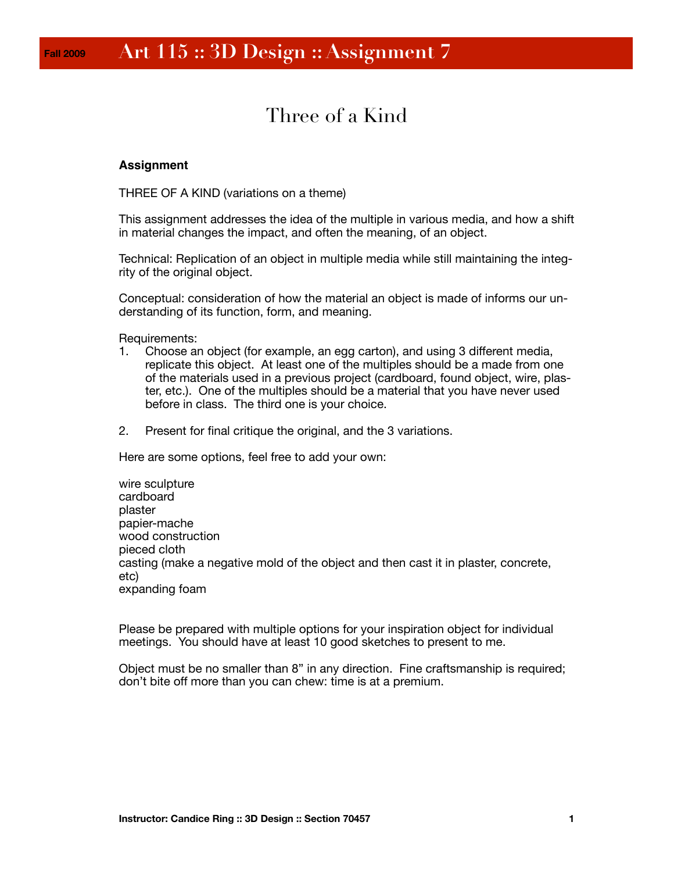# Three of a Kind

## **Assignment**

THREE OF A KIND (variations on a theme)

This assignment addresses the idea of the multiple in various media, and how a shift in material changes the impact, and often the meaning, of an object.

Technical: Replication of an object in multiple media while still maintaining the integrity of the original object.

Conceptual: consideration of how the material an object is made of informs our understanding of its function, form, and meaning.

Requirements:

- 1. Choose an object (for example, an egg carton), and using 3 different media, replicate this object. At least one of the multiples should be a made from one of the materials used in a previous project (cardboard, found object, wire, plaster, etc.). One of the multiples should be a material that you have never used before in class. The third one is your choice.
- 2. Present for final critique the original, and the 3 variations.

Here are some options, feel free to add your own:

wire sculpture cardboard plaster papier-mache wood construction pieced cloth casting (make a negative mold of the object and then cast it in plaster, concrete, etc) expanding foam

Please be prepared with multiple options for your inspiration object for individual meetings. You should have at least 10 good sketches to present to me.

Object must be no smaller than 8" in any direction. Fine craftsmanship is required; don't bite off more than you can chew: time is at a premium.